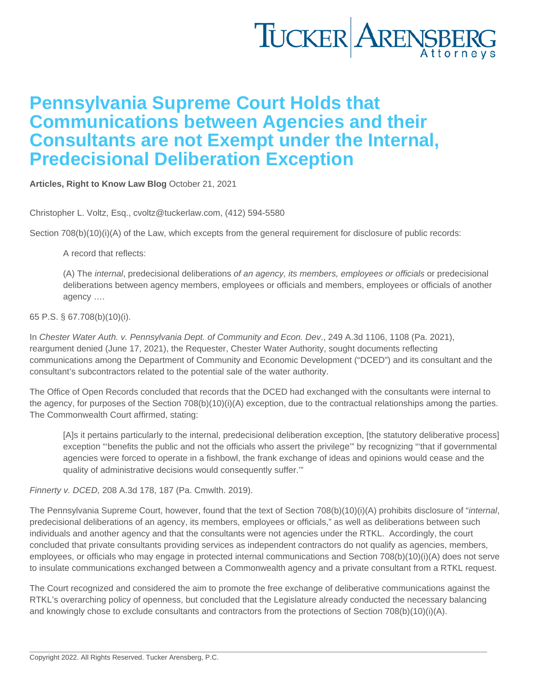## Pennsylvania Supreme Court Holds that Communications between Agencies and their Consultants are not Exempt under the Internal, Predecisional Deliberation Exception

[Articles](https://www.tuckerlaw.com/category/articles/) , [Right to Know Law Blog](https://www.tuckerlaw.com/category/right-to-know-law-blog/) October 21, 2021

Christopher L. Voltz, Esq., [cvoltz@tuckerlaw.com,](mailto:cvoltz@tuckerlaw.com) (412) 594-5580

Section 708(b)(10)(i)(A) of the Law, which excepts from the general requirement for disclosure of public records:

A record that reflects:

(A) The internal, predecisional deliberations of an agency, its members, employees or officials or predecisional deliberations between agency members, employees or officials and members, employees or officials of another agency ….

65 P.S. § 67.708(b)(10)(i).

In Chester Water Auth. v. Pennsylvania Dept. of Community and Econ. Dev., 249 A.3d 1106, 1108 (Pa. 2021), reargument denied (June 17, 2021), the Requester, Chester Water Authority, sought documents reflecting communications among the Department of Community and Economic Development ("DCED") and its consultant and the consultant's subcontractors related to the potential sale of the water authority.

The Office of Open Records concluded that records that the DCED had exchanged with the consultants were internal to the agency, for purposes of the Section 708(b)(10)(i)(A) exception, due to the contractual relationships among the parties. The Commonwealth Court affirmed, stating:

[A]s it pertains particularly to the internal, predecisional deliberation exception, [the statutory deliberative process] exception "'benefits the public and not the officials who assert the privilege'" by recognizing "'that if governmental agencies were forced to operate in a fishbowl, the frank exchange of ideas and opinions would cease and the quality of administrative decisions would consequently suffer.'"

Finnerty v. DCED, 208 A.3d 178, 187 (Pa. Cmwlth. 2019).

The Pennsylvania Supreme Court, however, found that the text of Section 708(b)(10)(i)(A) prohibits disclosure of "internal, predecisional deliberations of an agency, its members, employees or officials," as well as deliberations between such individuals and another agency and that the consultants were not agencies under the RTKL. Accordingly, the court concluded that private consultants providing services as independent contractors do not qualify as agencies, members, employees, or officials who may engage in protected internal communications and Section 708(b)(10)(i)(A) does not serve to insulate communications exchanged between a Commonwealth agency and a private consultant from a RTKL request.

The Court recognized and considered the aim to promote the free exchange of deliberative communications against the RTKL's overarching policy of openness, but concluded that the Legislature already conducted the necessary balancing and knowingly chose to exclude consultants and contractors from the protections of Section 708(b)(10)(i)(A).